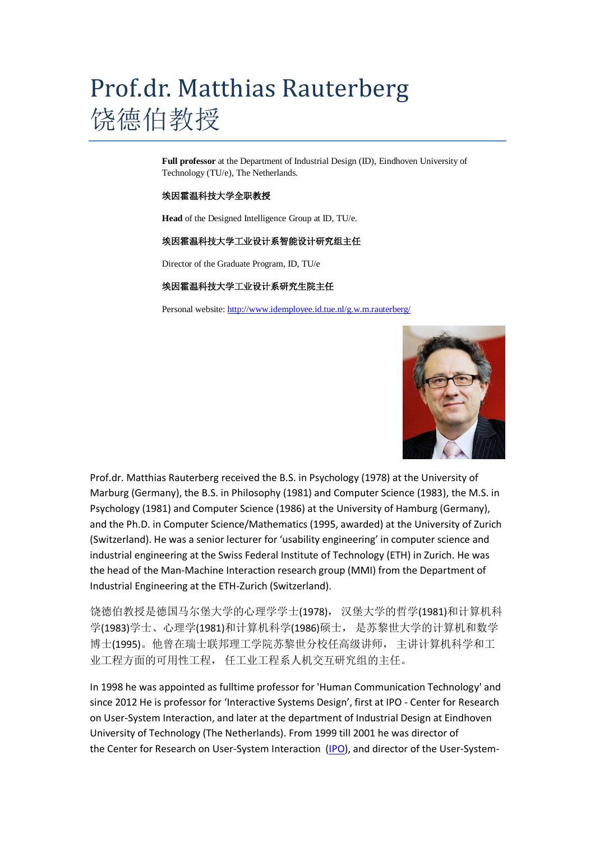## Prof.dr. Matthias Rauterberg 饶德伯教授

**Full professor** at the Department of Industrial Design (ID), Eindhoven University of Technology (TU/e), The Netherlands.

## 埃因霍温科技大学全职教授

**Head** of the Designed Intelligence Group at ID, TU/e.

## 埃因霍温科技大学工业设计系智能设计研究组主任

Director of the Graduate Program, ID, TU/e

## 埃因霍温科技大学工业设计系研究生院主任

Personal website[: http://www.idemployee.id.tue.nl/g.w.m.rauterberg/](http://www.idemployee.id.tue.nl/g.w.m.rauterberg/)



Prof.dr. Matthias Rauterberg received the B.S. in Psychology (1978) at the University of Marburg (Germany), the B.S. in Philosophy (1981) and Computer Science (1983), the M.S. in Psychology (1981) and Computer Science (1986) at the University of Hamburg (Germany), and the Ph.D. in Computer Science/Mathematics (1995, awarded) at the University of Zurich (Switzerland). He was a senior lecturer for 'usability engineering' in computer science and industrial engineering at the Swiss Federal Institute of Technology (ETH) in Zurich. He was the head of the Man-Machine Interaction research group (MMI) from the Department of Industrial Engineering at the ETH-Zurich (Switzerland).

饶德伯教授是德国马尔堡大学的心理学学士(1978), 汉堡大学的哲学(1981)和计算机科 学(1983)学士、心理学(1981)和计算机科学(1986)硕士, 是苏黎世大学的计算机和数学 博士(1995)。他曾在瑞士联邦理工学院苏黎世分校任高级讲师, 主讲计算机科学和工 业工程方面的可用性工程, 任工业工程系人机交互研究组的主任。

In 1998 he was appointed as fulltime professor for 'Human Communication Technology' and since 2012 He is professor for 'Interactive Systems Design', first at IPO - Center for Research on User-System Interaction, and later at the department of Industrial Design at Eindhoven University of Technology (The Netherlands). From 1999 till 2001 he was director of the Center for Research on User-System Interaction [\(IPO\)](http://w3.tue.nl/nl/diensten/cec/pers_en_media/persberichten/1999/12_04_1999_profdr_gwm_rauterberg_nieuwe_directeur_ipo/), and director of the User-System